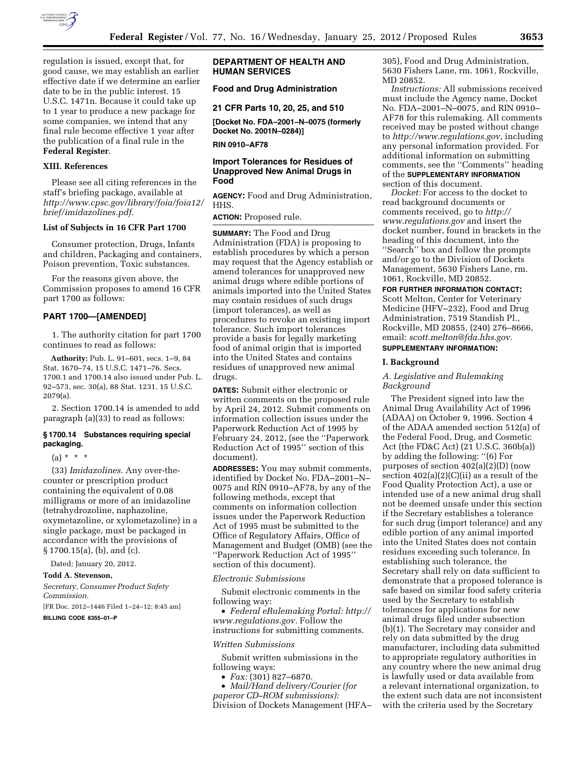

regulation is issued, except that, for good cause, we may establish an earlier effective date if we determine an earlier date to be in the public interest. 15 U.S.C. 1471n. Because it could take up to 1 year to produce a new package for some companies, we intend that any final rule become effective 1 year after the publication of a final rule in the **Federal Register**.

#### **XIII. References**

Please see all citing references in the staff's briefing package, available at *[http://www.cpsc.gov/library/foia/foia12/](http://www.cpsc.gov/library/foia/foia12/brief/imidazolines.pdf)  [brief/imidazolines.pdf.](http://www.cpsc.gov/library/foia/foia12/brief/imidazolines.pdf)* 

### **List of Subjects in 16 CFR Part 1700**

Consumer protection, Drugs, Infants and children, Packaging and containers, Poison prevention, Toxic substances.

For the reasons given above, the Commission proposes to amend 16 CFR part 1700 as follows:

# **PART 1700—[AMENDED]**

1. The authority citation for part 1700 continues to read as follows:

**Authority:** Pub. L. 91–601, secs. 1–9, 84 Stat. 1670–74, 15 U.S.C. 1471–76. Secs. 1700.1 and 1700.14 also issued under Pub. L. 92–573, sec. 30(a), 88 Stat. 1231. 15 U.S.C. 2079(a).

2. Section 1700.14 is amended to add paragraph (a)(33) to read as follows:

### **§ 1700.14 Substances requiring special packaging.**

 $(a) * * * *$ 

(33) *Imidazolines.* Any over-thecounter or prescription product containing the equivalent of 0.08 milligrams or more of an imidazoline (tetrahydrozoline, naphazoline, oxymetazoline, or xylometazoline) in a single package, must be packaged in accordance with the provisions of § 1700.15(a), (b), and (c).

Dated: January 20, 2012.

### **Todd A. Stevenson,**

*Secretary, Consumer Product Safety Commission.* 

[FR Doc. 2012–1446 Filed 1–24–12; 8:45 am]

# **BILLING CODE 6355–01–P**

# **DEPARTMENT OF HEALTH AND HUMAN SERVICES**

# **Food and Drug Administration**

**21 CFR Parts 10, 20, 25, and 510** 

**[Docket No. FDA–2001–N–0075 (formerly Docket No. 2001N–0284)]** 

**RIN 0910–AF78** 

# **Import Tolerances for Residues of Unapproved New Animal Drugs in Food**

**AGENCY:** Food and Drug Administration, HHS.

**ACTION:** Proposed rule.

**SUMMARY:** The Food and Drug Administration (FDA) is proposing to establish procedures by which a person may request that the Agency establish or amend tolerances for unapproved new animal drugs where edible portions of animals imported into the United States may contain residues of such drugs (import tolerances), as well as procedures to revoke an existing import tolerance. Such import tolerances provide a basis for legally marketing food of animal origin that is imported into the United States and contains residues of unapproved new animal drugs.

**DATES:** Submit either electronic or written comments on the proposed rule by April 24, 2012. Submit comments on information collection issues under the Paperwork Reduction Act of 1995 by February 24, 2012, (see the ''Paperwork Reduction Act of 1995'' section of this document).

**ADDRESSES:** You may submit comments, identified by Docket No. FDA–2001–N– 0075 and RIN 0910–AF78, by any of the following methods, except that comments on information collection issues under the Paperwork Reduction Act of 1995 must be submitted to the Office of Regulatory Affairs, Office of Management and Budget (OMB) (see the ''Paperwork Reduction Act of 1995'' section of this document).

#### *Electronic Submissions*

Submit electronic comments in the following way:

• *Federal eRulemaking Portal: [http://](http://www.regulations.gov)  [www.regulations.gov.](http://www.regulations.gov)* Follow the instructions for submitting comments.

#### *Written Submissions*

Submit written submissions in the following ways:

• *Fax:* (301) 827–6870.

• *Mail/Hand delivery/Courier (for paperor CD–ROM submissions):*  Division of Dockets Management (HFA– 305), Food and Drug Administration, 5630 Fishers Lane, rm. 1061, Rockville, MD 20852.

*Instructions:* All submissions received must include the Agency name, Docket No. FDA–2001–N–0075, and RIN 0910– AF78 for this rulemaking. All comments received may be posted without change to *<http://www.regulations.gov>*, including any personal information provided. For additional information on submitting comments, see the ''Comments'' heading of the **SUPPLEMENTARY INFORMATION** section of this document.

*Docket:* For access to the docket to read background documents or comments received, go to *[http://](http://www.regulations.gov)  [www.regulations.gov](http://www.regulations.gov)* and insert the docket number, found in brackets in the heading of this document, into the ''Search'' box and follow the prompts and/or go to the Division of Dockets Management, 5630 Fishers Lane, rm. 1061, Rockville, MD 20852.

**FOR FURTHER INFORMATION CONTACT:**  Scott Melton, Center for Veterinary Medicine (HFV–232), Food and Drug Administration, 7519 Standish Pl., Rockville, MD 20855, (240) 276–8666, email: *[scott.melton@fda.hhs.gov.](mailto:scott.melton@fda.hhs.gov)* 

# **SUPPLEMENTARY INFORMATION:**

# **I. Background**

# *A. Legislative and Rulemaking Background*

The President signed into law the Animal Drug Availability Act of 1996 (ADAA) on October 9, 1996. Section 4 of the ADAA amended section 512(a) of the Federal Food, Drug, and Cosmetic Act (the FD&C Act) (21 U.S.C. 360b(a)) by adding the following: ''(6) For purposes of section 402(a)(2)(D) (now section  $402(a)(2)(C)(ii)$  as a result of the Food Quality Protection Act), a use or intended use of a new animal drug shall not be deemed unsafe under this section if the Secretary establishes a tolerance for such drug (import tolerance) and any edible portion of any animal imported into the United States does not contain residues exceeding such tolerance. In establishing such tolerance, the Secretary shall rely on data sufficient to demonstrate that a proposed tolerance is safe based on similar food safety criteria used by the Secretary to establish tolerances for applications for new animal drugs filed under subsection (b)(1). The Secretary may consider and rely on data submitted by the drug manufacturer, including data submitted to appropriate regulatory authorities in any country where the new animal drug is lawfully used or data available from a relevant international organization, to the extent such data are not inconsistent with the criteria used by the Secretary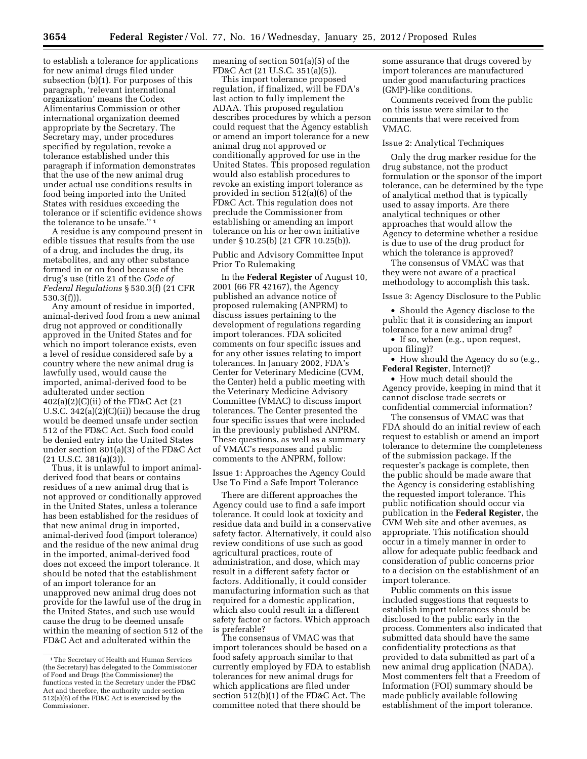to establish a tolerance for applications for new animal drugs filed under subsection (b)(1). For purposes of this paragraph, 'relevant international organization' means the Codex Alimentarius Commission or other international organization deemed appropriate by the Secretary. The Secretary may, under procedures specified by regulation, revoke a tolerance established under this paragraph if information demonstrates that the use of the new animal drug under actual use conditions results in food being imported into the United States with residues exceeding the tolerance or if scientific evidence shows the tolerance to be unsafe.'' 1

A residue is any compound present in edible tissues that results from the use of a drug, and includes the drug, its metabolites, and any other substance formed in or on food because of the drug's use (title 21 of the *Code of Federal Regulations* § 530.3(f) (21 CFR 530.3(f))).

Any amount of residue in imported, animal-derived food from a new animal drug not approved or conditionally approved in the United States and for which no import tolerance exists, even a level of residue considered safe by a country where the new animal drug is lawfully used, would cause the imported, animal-derived food to be adulterated under section 402(a)(2)(C)(ii) of the FD&C Act (21 U.S.C. 342(a)(2)(C)(ii)) because the drug would be deemed unsafe under section 512 of the FD&C Act. Such food could be denied entry into the United States under section 801(a)(3) of the FD&C Act  $(21 \text{ U.S.C. } 381(a)(3)).$ 

Thus, it is unlawful to import animalderived food that bears or contains residues of a new animal drug that is not approved or conditionally approved in the United States, unless a tolerance has been established for the residues of that new animal drug in imported, animal-derived food (import tolerance) and the residue of the new animal drug in the imported, animal-derived food does not exceed the import tolerance. It should be noted that the establishment of an import tolerance for an unapproved new animal drug does not provide for the lawful use of the drug in the United States, and such use would cause the drug to be deemed unsafe within the meaning of section 512 of the FD&C Act and adulterated within the

meaning of section 501(a)(5) of the FD&C Act (21 U.S.C. 351(a)(5)).

This import tolerance proposed regulation, if finalized, will be FDA's last action to fully implement the ADAA. This proposed regulation describes procedures by which a person could request that the Agency establish or amend an import tolerance for a new animal drug not approved or conditionally approved for use in the United States. This proposed regulation would also establish procedures to revoke an existing import tolerance as provided in section 512(a)(6) of the FD&C Act. This regulation does not preclude the Commissioner from establishing or amending an import tolerance on his or her own initiative under § 10.25(b) (21 CFR 10.25(b)).

Public and Advisory Committee Input Prior To Rulemaking

In the **Federal Register** of August 10, 2001 (66 FR 42167), the Agency published an advance notice of proposed rulemaking (ANPRM) to discuss issues pertaining to the development of regulations regarding import tolerances. FDA solicited comments on four specific issues and for any other issues relating to import tolerances. In January 2002, FDA's Center for Veterinary Medicine (CVM, the Center) held a public meeting with the Veterinary Medicine Advisory Committee (VMAC) to discuss import tolerances. The Center presented the four specific issues that were included in the previously published ANPRM. These questions, as well as a summary of VMAC's responses and public comments to the ANPRM, follow:

Issue 1: Approaches the Agency Could Use To Find a Safe Import Tolerance

There are different approaches the Agency could use to find a safe import tolerance. It could look at toxicity and residue data and build in a conservative safety factor. Alternatively, it could also review conditions of use such as good agricultural practices, route of administration, and dose, which may result in a different safety factor or factors. Additionally, it could consider manufacturing information such as that required for a domestic application, which also could result in a different safety factor or factors. Which approach is preferable?

The consensus of VMAC was that import tolerances should be based on a food safety approach similar to that currently employed by FDA to establish tolerances for new animal drugs for which applications are filed under section 512(b)(1) of the FD&C Act. The committee noted that there should be

some assurance that drugs covered by import tolerances are manufactured under good manufacturing practices (GMP)-like conditions.

Comments received from the public on this issue were similar to the comments that were received from VMAC.

### Issue 2: Analytical Techniques

Only the drug marker residue for the drug substance, not the product formulation or the sponsor of the import tolerance, can be determined by the type of analytical method that is typically used to assay imports. Are there analytical techniques or other approaches that would allow the Agency to determine whether a residue is due to use of the drug product for which the tolerance is approved?

The consensus of VMAC was that they were not aware of a practical methodology to accomplish this task.

Issue 3: Agency Disclosure to the Public

• Should the Agency disclose to the public that it is considering an import tolerance for a new animal drug?

• If so, when (e.g., upon request, upon filing)?

• How should the Agency do so (e.g., **Federal Register**, Internet)?

• How much detail should the Agency provide, keeping in mind that it cannot disclose trade secrets or confidential commercial information?

The consensus of VMAC was that FDA should do an initial review of each request to establish or amend an import tolerance to determine the completeness of the submission package. If the requester's package is complete, then the public should be made aware that the Agency is considering establishing the requested import tolerance. This public notification should occur via publication in the **Federal Register**, the CVM Web site and other avenues, as appropriate. This notification should occur in a timely manner in order to allow for adequate public feedback and consideration of public concerns prior to a decision on the establishment of an import tolerance.

Public comments on this issue included suggestions that requests to establish import tolerances should be disclosed to the public early in the process. Commenters also indicated that submitted data should have the same confidentiality protections as that provided to data submitted as part of a new animal drug application (NADA). Most commenters felt that a Freedom of Information (FOI) summary should be made publicly available following establishment of the import tolerance.

<sup>1</sup>The Secretary of Health and Human Services (the Secretary) has delegated to the Commissioner of Food and Drugs (the Commissioner) the functions vested in the Secretary under the FD&C Act and therefore, the authority under section 512(a)(6) of the FD&C Act is exercised by the Commissioner.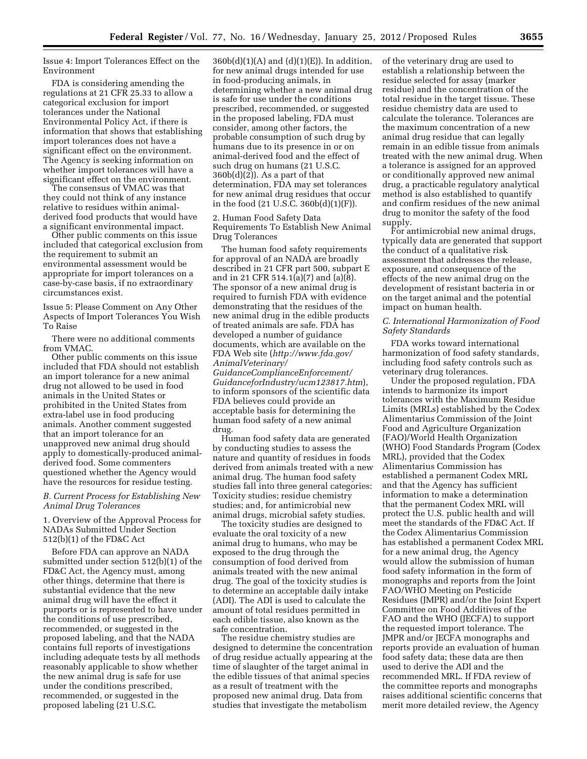Issue 4: Import Tolerances Effect on the Environment

FDA is considering amending the regulations at 21 CFR 25.33 to allow a categorical exclusion for import tolerances under the National Environmental Policy Act, if there is information that shows that establishing import tolerances does not have a significant effect on the environment. The Agency is seeking information on whether import tolerances will have a significant effect on the environment.

The consensus of VMAC was that they could not think of any instance relative to residues within animalderived food products that would have a significant environmental impact.

Other public comments on this issue included that categorical exclusion from the requirement to submit an environmental assessment would be appropriate for import tolerances on a case-by-case basis, if no extraordinary circumstances exist.

Issue 5: Please Comment on Any Other Aspects of Import Tolerances You Wish To Raise

There were no additional comments from VMAC.

Other public comments on this issue included that FDA should not establish an import tolerance for a new animal drug not allowed to be used in food animals in the United States or prohibited in the United States from extra-label use in food producing animals. Another comment suggested that an import tolerance for an unapproved new animal drug should apply to domestically-produced animalderived food. Some commenters questioned whether the Agency would have the resources for residue testing.

# *B. Current Process for Establishing New Animal Drug Tolerances*

1. Overview of the Approval Process for NADAs Submitted Under Section 512(b)(1) of the FD&C Act

Before FDA can approve an NADA submitted under section 512(b)(1) of the FD&C Act, the Agency must, among other things, determine that there is substantial evidence that the new animal drug will have the effect it purports or is represented to have under the conditions of use prescribed, recommended, or suggested in the proposed labeling, and that the NADA contains full reports of investigations including adequate tests by all methods reasonably applicable to show whether the new animal drug is safe for use under the conditions prescribed, recommended, or suggested in the proposed labeling (21 U.S.C.

 $360b(d)(1)(A)$  and  $(d)(1)(E)$ ). In addition, for new animal drugs intended for use in food-producing animals, in determining whether a new animal drug is safe for use under the conditions prescribed, recommended, or suggested in the proposed labeling, FDA must consider, among other factors, the probable consumption of such drug by humans due to its presence in or on animal-derived food and the effect of such drug on humans (21 U.S.C.  $360b(d)(2)$ ). As a part of that determination, FDA may set tolerances for new animal drug residues that occur in the food (21 U.S.C. 360b(d)(1)(F)).

2. Human Food Safety Data Requirements To Establish New Animal Drug Tolerances

The human food safety requirements for approval of an NADA are broadly described in 21 CFR part 500, subpart E and in 21 CFR 514.1(a)(7) and (a)(8). The sponsor of a new animal drug is required to furnish FDA with evidence demonstrating that the residues of the new animal drug in the edible products of treated animals are safe. FDA has developed a number of guidance documents, which are available on the FDA Web site (*[http://www.fda.gov/](http://www.fda.gov/AnimalVeterinary/GuidanceComplianceEnforcement/GuidanceforIndustry/ucm123817.htm)  [AnimalVeterinary/](http://www.fda.gov/AnimalVeterinary/GuidanceComplianceEnforcement/GuidanceforIndustry/ucm123817.htm) [GuidanceComplianceEnforcement/](http://www.fda.gov/AnimalVeterinary/GuidanceComplianceEnforcement/GuidanceforIndustry/ucm123817.htm)* 

*[GuidanceforIndustry/ucm123817.htm](http://www.fda.gov/AnimalVeterinary/GuidanceComplianceEnforcement/GuidanceforIndustry/ucm123817.htm)*), to inform sponsors of the scientific data FDA believes could provide an acceptable basis for determining the human food safety of a new animal drug.

Human food safety data are generated by conducting studies to assess the nature and quantity of residues in foods derived from animals treated with a new animal drug. The human food safety studies fall into three general categories: Toxicity studies; residue chemistry studies; and, for antimicrobial new animal drugs, microbial safety studies.

The toxicity studies are designed to evaluate the oral toxicity of a new animal drug to humans, who may be exposed to the drug through the consumption of food derived from animals treated with the new animal drug. The goal of the toxicity studies is to determine an acceptable daily intake (ADI). The ADI is used to calculate the amount of total residues permitted in each edible tissue, also known as the safe concentration.

The residue chemistry studies are designed to determine the concentration of drug residue actually appearing at the time of slaughter of the target animal in the edible tissues of that animal species as a result of treatment with the proposed new animal drug. Data from studies that investigate the metabolism

of the veterinary drug are used to establish a relationship between the residue selected for assay (marker residue) and the concentration of the total residue in the target tissue. These residue chemistry data are used to calculate the tolerance. Tolerances are the maximum concentration of a new animal drug residue that can legally remain in an edible tissue from animals treated with the new animal drug. When a tolerance is assigned for an approved or conditionally approved new animal drug, a practicable regulatory analytical method is also established to quantify and confirm residues of the new animal drug to monitor the safety of the food supply.

For antimicrobial new animal drugs, typically data are generated that support the conduct of a qualitative risk assessment that addresses the release, exposure, and consequence of the effects of the new animal drug on the development of resistant bacteria in or on the target animal and the potential impact on human health.

# *C. International Harmonization of Food Safety Standards*

FDA works toward international harmonization of food safety standards, including food safety controls such as veterinary drug tolerances.

Under the proposed regulation, FDA intends to harmonize its import tolerances with the Maximum Residue Limits (MRLs) established by the Codex Alimentarius Commission of the Joint Food and Agriculture Organization (FAO)/World Health Organization (WHO) Food Standards Program (Codex MRL), provided that the Codex Alimentarius Commission has established a permanent Codex MRL and that the Agency has sufficient information to make a determination that the permanent Codex MRL will protect the U.S. public health and will meet the standards of the FD&C Act. If the Codex Alimentarius Commission has established a permanent Codex MRL for a new animal drug, the Agency would allow the submission of human food safety information in the form of monographs and reports from the Joint FAO/WHO Meeting on Pesticide Residues (JMPR) and/or the Joint Expert Committee on Food Additives of the FAO and the WHO (JECFA) to support the requested import tolerance. The JMPR and/or JECFA monographs and reports provide an evaluation of human food safety data; these data are then used to derive the ADI and the recommended MRL. If FDA review of the committee reports and monographs raises additional scientific concerns that merit more detailed review, the Agency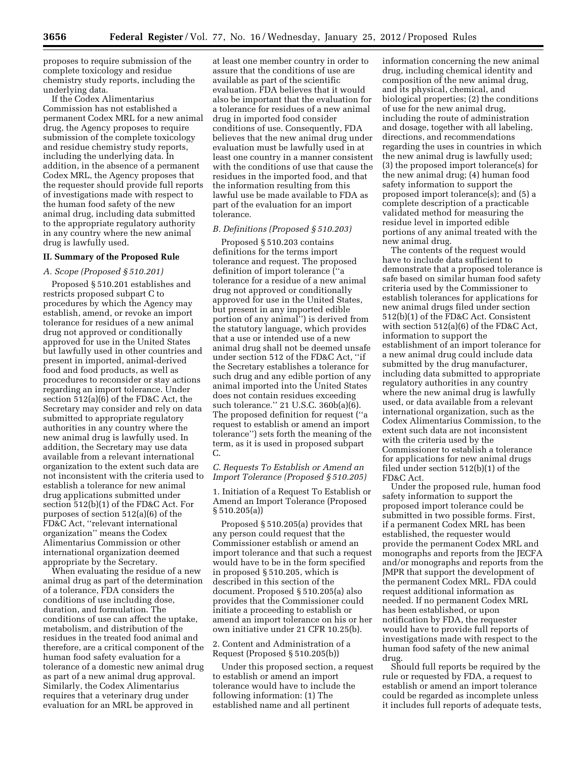proposes to require submission of the complete toxicology and residue chemistry study reports, including the underlying data.

If the Codex Alimentarius Commission has not established a permanent Codex MRL for a new animal drug, the Agency proposes to require submission of the complete toxicology and residue chemistry study reports, including the underlying data. In addition, in the absence of a permanent Codex MRL, the Agency proposes that the requester should provide full reports of investigations made with respect to the human food safety of the new animal drug, including data submitted to the appropriate regulatory authority in any country where the new animal drug is lawfully used.

# **II. Summary of the Proposed Rule**

#### *A. Scope (Proposed § 510.201)*

Proposed § 510.201 establishes and restricts proposed subpart C to procedures by which the Agency may establish, amend, or revoke an import tolerance for residues of a new animal drug not approved or conditionally approved for use in the United States but lawfully used in other countries and present in imported, animal-derived food and food products, as well as procedures to reconsider or stay actions regarding an import tolerance. Under section 512(a)(6) of the FD&C Act, the Secretary may consider and rely on data submitted to appropriate regulatory authorities in any country where the new animal drug is lawfully used. In addition, the Secretary may use data available from a relevant international organization to the extent such data are not inconsistent with the criteria used to establish a tolerance for new animal drug applications submitted under section 512(b)(1) of the FD&C Act. For purposes of section 512(a)(6) of the FD&C Act, ''relevant international organization'' means the Codex Alimentarius Commission or other international organization deemed appropriate by the Secretary.

When evaluating the residue of a new animal drug as part of the determination of a tolerance, FDA considers the conditions of use including dose, duration, and formulation. The conditions of use can affect the uptake, metabolism, and distribution of the residues in the treated food animal and therefore, are a critical component of the human food safety evaluation for a tolerance of a domestic new animal drug as part of a new animal drug approval. Similarly, the Codex Alimentarius requires that a veterinary drug under evaluation for an MRL be approved in

at least one member country in order to assure that the conditions of use are available as part of the scientific evaluation. FDA believes that it would also be important that the evaluation for a tolerance for residues of a new animal drug in imported food consider conditions of use. Consequently, FDA believes that the new animal drug under evaluation must be lawfully used in at least one country in a manner consistent with the conditions of use that cause the residues in the imported food, and that the information resulting from this lawful use be made available to FDA as part of the evaluation for an import tolerance.

### *B. Definitions (Proposed § 510.203)*

Proposed § 510.203 contains definitions for the terms import tolerance and request. The proposed definition of import tolerance (''a tolerance for a residue of a new animal drug not approved or conditionally approved for use in the United States, but present in any imported edible portion of any animal'') is derived from the statutory language, which provides that a use or intended use of a new animal drug shall not be deemed unsafe under section 512 of the FD&C Act, ''if the Secretary establishes a tolerance for such drug and any edible portion of any animal imported into the United States does not contain residues exceeding such tolerance.'' 21 U.S.C. 360b(a)(6). The proposed definition for request (''a request to establish or amend an import tolerance'') sets forth the meaning of the term, as it is used in proposed subpart C.

# *C. Requests To Establish or Amend an Import Tolerance (Proposed § 510.205)*

1. Initiation of a Request To Establish or Amend an Import Tolerance (Proposed  $§ 510.205(a)$ 

Proposed § 510.205(a) provides that any person could request that the Commissioner establish or amend an import tolerance and that such a request would have to be in the form specified in proposed § 510.205, which is described in this section of the document. Proposed § 510.205(a) also provides that the Commissioner could initiate a proceeding to establish or amend an import tolerance on his or her own initiative under 21 CFR 10.25(b).

### 2. Content and Administration of a Request (Proposed § 510.205(b))

Under this proposed section, a request to establish or amend an import tolerance would have to include the following information: (1) The established name and all pertinent

information concerning the new animal drug, including chemical identity and composition of the new animal drug, and its physical, chemical, and biological properties; (2) the conditions of use for the new animal drug, including the route of administration and dosage, together with all labeling, directions, and recommendations regarding the uses in countries in which the new animal drug is lawfully used; (3) the proposed import tolerance(s) for the new animal drug; (4) human food safety information to support the proposed import tolerance(s); and (5) a complete description of a practicable validated method for measuring the residue level in imported edible portions of any animal treated with the new animal drug.

The contents of the request would have to include data sufficient to demonstrate that a proposed tolerance is safe based on similar human food safety criteria used by the Commissioner to establish tolerances for applications for new animal drugs filed under section 512(b)(1) of the FD&C Act. Consistent with section 512(a)(6) of the FD&C Act, information to support the establishment of an import tolerance for a new animal drug could include data submitted by the drug manufacturer, including data submitted to appropriate regulatory authorities in any country where the new animal drug is lawfully used, or data available from a relevant international organization, such as the Codex Alimentarius Commission, to the extent such data are not inconsistent with the criteria used by the Commissioner to establish a tolerance for applications for new animal drugs filed under section 512(b)(1) of the FD&C Act.

Under the proposed rule, human food safety information to support the proposed import tolerance could be submitted in two possible forms. First, if a permanent Codex MRL has been established, the requester would provide the permanent Codex MRL and monographs and reports from the JECFA and/or monographs and reports from the JMPR that support the development of the permanent Codex MRL. FDA could request additional information as needed. If no permanent Codex MRL has been established, or upon notification by FDA, the requester would have to provide full reports of investigations made with respect to the human food safety of the new animal drug.

Should full reports be required by the rule or requested by FDA, a request to establish or amend an import tolerance could be regarded as incomplete unless it includes full reports of adequate tests,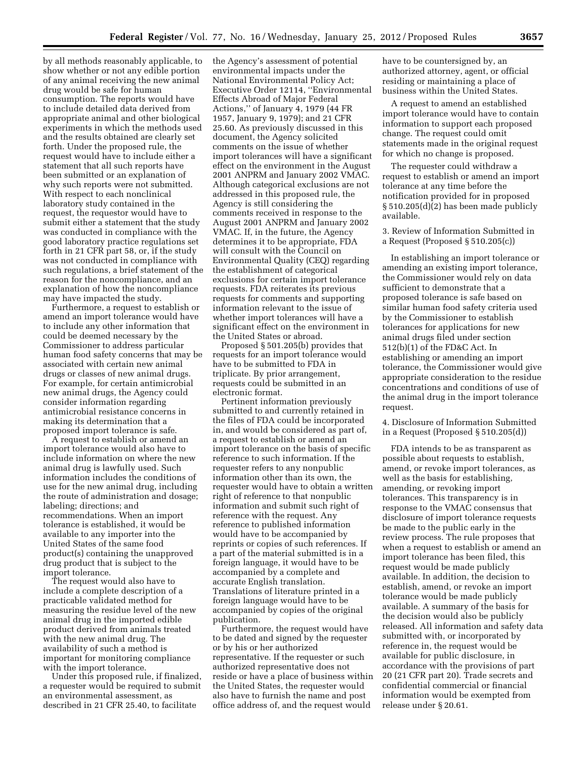by all methods reasonably applicable, to show whether or not any edible portion of any animal receiving the new animal drug would be safe for human consumption. The reports would have to include detailed data derived from appropriate animal and other biological experiments in which the methods used and the results obtained are clearly set forth. Under the proposed rule, the request would have to include either a statement that all such reports have been submitted or an explanation of why such reports were not submitted. With respect to each nonclinical laboratory study contained in the request, the requestor would have to submit either a statement that the study was conducted in compliance with the good laboratory practice regulations set forth in 21 CFR part 58, or, if the study was not conducted in compliance with such regulations, a brief statement of the reason for the noncompliance, and an explanation of how the noncompliance may have impacted the study.

Furthermore, a request to establish or amend an import tolerance would have to include any other information that could be deemed necessary by the Commissioner to address particular human food safety concerns that may be associated with certain new animal drugs or classes of new animal drugs. For example, for certain antimicrobial new animal drugs, the Agency could consider information regarding antimicrobial resistance concerns in making its determination that a proposed import tolerance is safe.

A request to establish or amend an import tolerance would also have to include information on where the new animal drug is lawfully used. Such information includes the conditions of use for the new animal drug, including the route of administration and dosage; labeling; directions; and recommendations. When an import tolerance is established, it would be available to any importer into the United States of the same food product(s) containing the unapproved drug product that is subject to the import tolerance.

The request would also have to include a complete description of a practicable validated method for measuring the residue level of the new animal drug in the imported edible product derived from animals treated with the new animal drug. The availability of such a method is important for monitoring compliance with the import tolerance.

Under this proposed rule, if finalized, a requester would be required to submit an environmental assessment, as described in 21 CFR 25.40, to facilitate

the Agency's assessment of potential environmental impacts under the National Environmental Policy Act; Executive Order 12114, ''Environmental Effects Abroad of Major Federal Actions,'' of January 4, 1979 (44 FR 1957, January 9, 1979); and 21 CFR 25.60. As previously discussed in this document, the Agency solicited comments on the issue of whether import tolerances will have a significant effect on the environment in the August 2001 ANPRM and January 2002 VMAC. Although categorical exclusions are not addressed in this proposed rule, the Agency is still considering the comments received in response to the August 2001 ANPRM and January 2002 VMAC. If, in the future, the Agency determines it to be appropriate, FDA will consult with the Council on Environmental Quality (CEQ) regarding the establishment of categorical exclusions for certain import tolerance requests. FDA reiterates its previous requests for comments and supporting information relevant to the issue of whether import tolerances will have a significant effect on the environment in the United States or abroad.

Proposed § 501.205(b) provides that requests for an import tolerance would have to be submitted to FDA in triplicate. By prior arrangement, requests could be submitted in an electronic format.

Pertinent information previously submitted to and currently retained in the files of FDA could be incorporated in, and would be considered as part of, a request to establish or amend an import tolerance on the basis of specific reference to such information. If the requester refers to any nonpublic information other than its own, the requester would have to obtain a written right of reference to that nonpublic information and submit such right of reference with the request. Any reference to published information would have to be accompanied by reprints or copies of such references. If a part of the material submitted is in a foreign language, it would have to be accompanied by a complete and accurate English translation. Translations of literature printed in a foreign language would have to be accompanied by copies of the original publication.

Furthermore, the request would have to be dated and signed by the requester or by his or her authorized representative. If the requester or such authorized representative does not reside or have a place of business within the United States, the requester would also have to furnish the name and post office address of, and the request would

have to be countersigned by, an authorized attorney, agent, or official residing or maintaining a place of business within the United States.

A request to amend an established import tolerance would have to contain information to support each proposed change. The request could omit statements made in the original request for which no change is proposed.

The requester could withdraw a request to establish or amend an import tolerance at any time before the notification provided for in proposed § 510.205(d)(2) has been made publicly available.

3. Review of Information Submitted in a Request (Proposed § 510.205(c))

In establishing an import tolerance or amending an existing import tolerance, the Commissioner would rely on data sufficient to demonstrate that a proposed tolerance is safe based on similar human food safety criteria used by the Commissioner to establish tolerances for applications for new animal drugs filed under section 512(b)(1) of the FD&C Act. In establishing or amending an import tolerance, the Commissioner would give appropriate consideration to the residue concentrations and conditions of use of the animal drug in the import tolerance request.

4. Disclosure of Information Submitted in a Request (Proposed § 510.205(d))

FDA intends to be as transparent as possible about requests to establish, amend, or revoke import tolerances, as well as the basis for establishing, amending, or revoking import tolerances. This transparency is in response to the VMAC consensus that disclosure of import tolerance requests be made to the public early in the review process. The rule proposes that when a request to establish or amend an import tolerance has been filed, this request would be made publicly available. In addition, the decision to establish, amend, or revoke an import tolerance would be made publicly available. A summary of the basis for the decision would also be publicly released. All information and safety data submitted with, or incorporated by reference in, the request would be available for public disclosure, in accordance with the provisions of part 20 (21 CFR part 20). Trade secrets and confidential commercial or financial information would be exempted from release under § 20.61.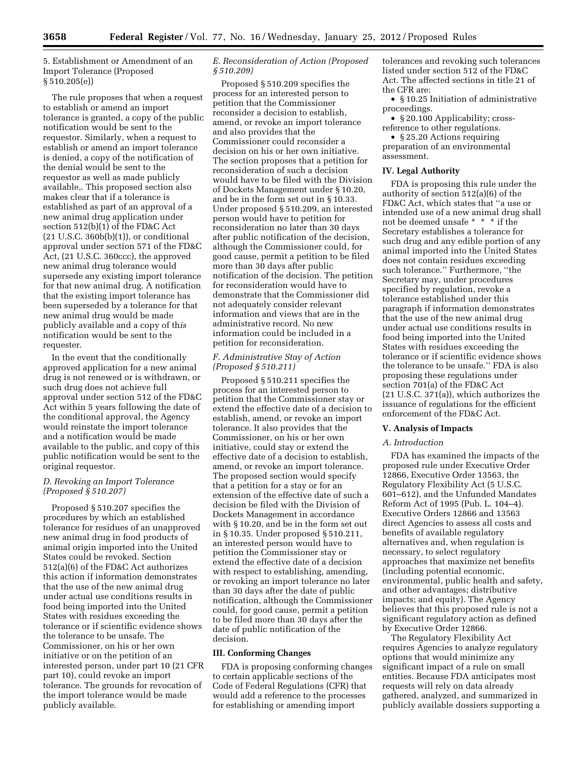5. Establishment or Amendment of an Import Tolerance (Proposed § 510.205(e))

The rule proposes that when a request to establish or amend an import tolerance is granted, a copy of the public notification would be sent to the requestor. Similarly, when a request to establish or amend an import tolerance is denied, a copy of the notification of the denial would be sent to the requestor as well as made publicly available,. This proposed section also makes clear that if a tolerance is established as part of an approval of a new animal drug application under section 512(b)(1) of the FD&C Act  $(21 U.S.C. 360b(b)(1))$ , or conditional approval under section 571 of the FD&C Act, (21 U.S.C. 360ccc), the approved new animal drug tolerance would supersede any existing import tolerance for that new animal drug. A notification that the existing import tolerance has been superseded by a tolerance for that new animal drug would be made publicly available and a copy of th*is*  notification would be sent to the requester.

In the event that the conditionally approved application for a new animal drug is not renewed or is withdrawn, or such drug does not achieve full approval under section 512 of the FD&C Act within 5 years following the date of the conditional approval, the Agency would reinstate the import tolerance and a notification would be made available to the public, and copy of this public notification would be sent to the original requestor.

# *D. Revoking an Import Tolerance (Proposed § 510.207)*

Proposed § 510.207 specifies the procedures by which an established tolerance for residues of an unapproved new animal drug in food products of animal origin imported into the United States could be revoked. Section 512(a)(6) of the FD&C Act authorizes this action if information demonstrates that the use of the new animal drug under actual use conditions results in food being imported into the United States with residues exceeding the tolerance or if scientific evidence shows the tolerance to be unsafe. The Commissioner, on his or her own initiative or on the petition of an interested person, under part 10 (21 CFR part 10), could revoke an import tolerance. The grounds for revocation of the import tolerance would be made publicly available.

# *E. Reconsideration of Action (Proposed § 510.209)*

Proposed § 510.209 specifies the process for an interested person to petition that the Commissioner reconsider a decision to establish, amend, or revoke an import tolerance and also provides that the Commissioner could reconsider a decision on his or her own initiative. The section proposes that a petition for reconsideration of such a decision would have to be filed with the Division of Dockets Management under § 10.20, and be in the form set out in § 10.33. Under proposed § 510.209, an interested person would have to petition for reconsideration no later than 30 days after public notification of the decision, although the Commissioner could, for good cause, permit a petition to be filed more than 30 days after public notification of the decision. The petition for reconsideration would have to demonstrate that the Commissioner did not adequately consider relevant information and views that are in the administrative record. No new information could be included in a petition for reconsideration.

# *F. Administrative Stay of Action (Proposed § 510.211)*

Proposed § 510.211 specifies the process for an interested person to petition that the Commissioner stay or extend the effective date of a decision to establish, amend, or revoke an import tolerance. It also provides that the Commissioner, on his or her own initiative, could stay or extend the effective date of a decision to establish, amend, or revoke an import tolerance. The proposed section would specify that a petition for a stay or for an extension of the effective date of such a decision be filed with the Division of Dockets Management in accordance with § 10.20, and be in the form set out in § 10.35. Under proposed § 510.211, an interested person would have to petition the Commissioner stay or extend the effective date of a decision with respect to establishing, amending, or revoking an import tolerance no later than 30 days after the date of public notification, although the Commissioner could, for good cause, permit a petition to be filed more than 30 days after the date of public notification of the decision.

# **III. Conforming Changes**

FDA is proposing conforming changes to certain applicable sections of the Code of Federal Regulations (CFR) that would add a reference to the processes for establishing or amending import

tolerances and revoking such tolerances listed under section 512 of the FD&C Act. The affected sections in title 21 of the CFR are:

• § 10.25 Initiation of administrative proceedings.

• § 20.100 Applicability; crossreference to other regulations.

• § 25.20 Actions requiring preparation of an environmental assessment.

#### **IV. Legal Authority**

FDA is proposing this rule under the authority of section 512(a)(6) of the FD&C Act, which states that ''a use or intended use of a new animal drug shall not be deemed unsafe \* \* \* if the Secretary establishes a tolerance for such drug and any edible portion of any animal imported into the United States does not contain residues exceeding such tolerance.'' Furthermore, ''the Secretary may, under procedures specified by regulation, revoke a tolerance established under this paragraph if information demonstrates that the use of the new animal drug under actual use conditions results in food being imported into the United States with residues exceeding the tolerance or if scientific evidence shows the tolerance to be unsafe.'' FDA is also proposing these regulations under section 701(a) of the FD&C Act (21 U.S.C. 371(a)), which authorizes the issuance of regulations for the efficient enforcement of the FD&C Act.

#### **V. Analysis of Impacts**

#### *A. Introduction*

FDA has examined the impacts of the proposed rule under Executive Order 12866, Executive Order 13563, the Regulatory Flexibility Act (5 U.S.C. 601–612), and the Unfunded Mandates Reform Act of 1995 (Pub. L. 104–4). Executive Orders 12866 and 13563 direct Agencies to assess all costs and benefits of available regulatory alternatives and, when regulation is necessary, to select regulatory approaches that maximize net benefits (including potential economic, environmental, public health and safety, and other advantages; distributive impacts; and equity). The Agency believes that this proposed rule is not a significant regulatory action as defined by Executive Order 12866.

The Regulatory Flexibility Act requires Agencies to analyze regulatory options that would minimize any significant impact of a rule on small entities. Because FDA anticipates most requests will rely on data already gathered, analyzed, and summarized in publicly available dossiers supporting a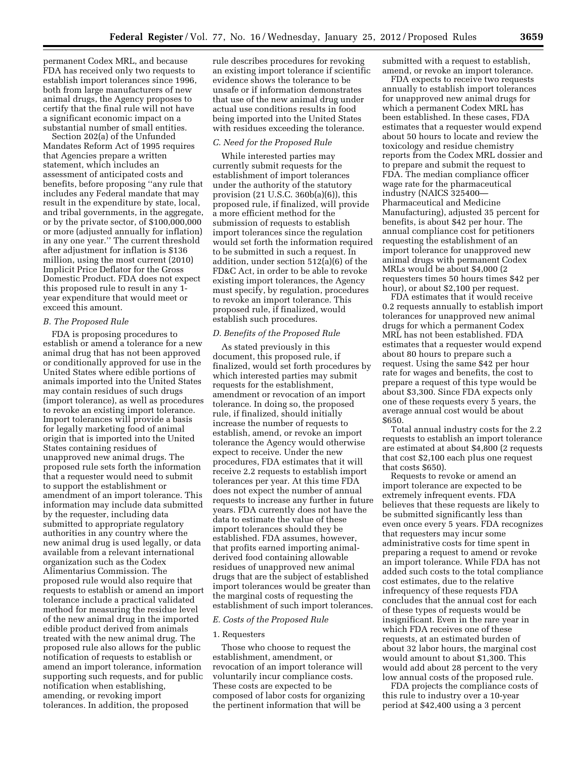permanent Codex MRL, and because FDA has received only two requests to establish import tolerances since 1996, both from large manufacturers of new animal drugs, the Agency proposes to certify that the final rule will not have a significant economic impact on a substantial number of small entities.

Section 202(a) of the Unfunded Mandates Reform Act of 1995 requires that Agencies prepare a written statement, which includes an assessment of anticipated costs and benefits, before proposing ''any rule that includes any Federal mandate that may result in the expenditure by state, local, and tribal governments, in the aggregate, or by the private sector, of \$100,000,000 or more (adjusted annually for inflation) in any one year.'' The current threshold after adjustment for inflation is \$136 million, using the most current (2010) Implicit Price Deflator for the Gross Domestic Product. FDA does not expect this proposed rule to result in any 1 year expenditure that would meet or exceed this amount.

# *B. The Proposed Rule*

FDA is proposing procedures to establish or amend a tolerance for a new animal drug that has not been approved or conditionally approved for use in the United States where edible portions of animals imported into the United States may contain residues of such drugs (import tolerance), as well as procedures to revoke an existing import tolerance. Import tolerances will provide a basis for legally marketing food of animal origin that is imported into the United States containing residues of unapproved new animal drugs. The proposed rule sets forth the information that a requester would need to submit to support the establishment or amendment of an import tolerance. This information may include data submitted by the requester, including data submitted to appropriate regulatory authorities in any country where the new animal drug is used legally, or data available from a relevant international organization such as the Codex Alimentarius Commission. The proposed rule would also require that requests to establish or amend an import tolerance include a practical validated method for measuring the residue level of the new animal drug in the imported edible product derived from animals treated with the new animal drug. The proposed rule also allows for the public notification of requests to establish or amend an import tolerance, information supporting such requests, and for public notification when establishing, amending, or revoking import tolerances. In addition, the proposed

rule describes procedures for revoking an existing import tolerance if scientific evidence shows the tolerance to be unsafe or if information demonstrates that use of the new animal drug under actual use conditions results in food being imported into the United States with residues exceeding the tolerance.

#### *C. Need for the Proposed Rule*

While interested parties may currently submit requests for the establishment of import tolerances under the authority of the statutory provision (21 U.S.C. 360b(a)(6)), this proposed rule, if finalized, will provide a more efficient method for the submission of requests to establish import tolerances since the regulation would set forth the information required to be submitted in such a request. In addition, under section 512(a)(6) of the FD&C Act, in order to be able to revoke existing import tolerances, the Agency must specify, by regulation, procedures to revoke an import tolerance. This proposed rule, if finalized, would establish such procedures.

# *D. Benefits of the Proposed Rule*

As stated previously in this document, this proposed rule, if finalized, would set forth procedures by which interested parties may submit requests for the establishment, amendment or revocation of an import tolerance. In doing so, the proposed rule, if finalized, should initially increase the number of requests to establish, amend, or revoke an import tolerance the Agency would otherwise expect to receive. Under the new procedures, FDA estimates that it will receive 2.2 requests to establish import tolerances per year. At this time FDA does not expect the number of annual requests to increase any further in future years. FDA currently does not have the data to estimate the value of these import tolerances should they be established. FDA assumes, however, that profits earned importing animalderived food containing allowable residues of unapproved new animal drugs that are the subject of established import tolerances would be greater than the marginal costs of requesting the establishment of such import tolerances.

### *E. Costs of the Proposed Rule*

#### 1. Requesters

Those who choose to request the establishment, amendment, or revocation of an import tolerance will voluntarily incur compliance costs. These costs are expected to be composed of labor costs for organizing the pertinent information that will be

submitted with a request to establish, amend, or revoke an import tolerance.

FDA expects to receive two requests annually to establish import tolerances for unapproved new animal drugs for which a permanent Codex MRL has been established. In these cases, FDA estimates that a requester would expend about 50 hours to locate and review the toxicology and residue chemistry reports from the Codex MRL dossier and to prepare and submit the request to FDA. The median compliance officer wage rate for the pharmaceutical industry (NAICS 325400— Pharmaceutical and Medicine Manufacturing), adjusted 35 percent for benefits, is about \$42 per hour. The annual compliance cost for petitioners requesting the establishment of an import tolerance for unapproved new animal drugs with permanent Codex MRLs would be about \$4,000 (2 requesters times 50 hours times \$42 per hour), or about \$2,100 per request.

FDA estimates that it would receive 0.2 requests annually to establish import tolerances for unapproved new animal drugs for which a permanent Codex MRL has not been established. FDA estimates that a requester would expend about 80 hours to prepare such a request. Using the same \$42 per hour rate for wages and benefits, the cost to prepare a request of this type would be about \$3,300. Since FDA expects only one of these requests every 5 years, the average annual cost would be about \$650.

Total annual industry costs for the 2.2 requests to establish an import tolerance are estimated at about \$4,800 (2 requests that cost \$2,100 each plus one request that costs \$650).

Requests to revoke or amend an import tolerance are expected to be extremely infrequent events. FDA believes that these requests are likely to be submitted significantly less than even once every 5 years. FDA recognizes that requesters may incur some administrative costs for time spent in preparing a request to amend or revoke an import tolerance. While FDA has not added such costs to the total compliance cost estimates, due to the relative infrequency of these requests FDA concludes that the annual cost for each of these types of requests would be insignificant. Even in the rare year in which FDA receives one of these requests, at an estimated burden of about 32 labor hours, the marginal cost would amount to about \$1,300. This would add about 28 percent to the very low annual costs of the proposed rule.

FDA projects the compliance costs of this rule to industry over a 10-year period at \$42,400 using a 3 percent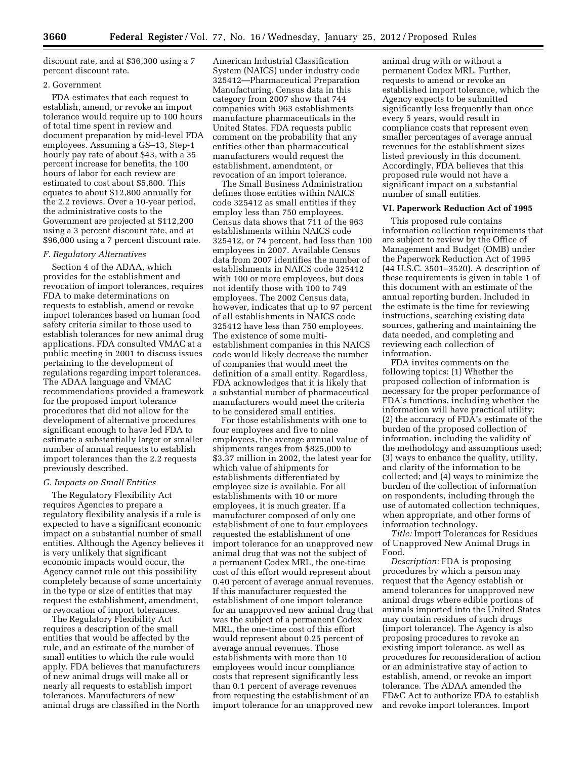discount rate, and at \$36,300 using a 7 percent discount rate.

# 2. Government

FDA estimates that each request to establish, amend, or revoke an import tolerance would require up to 100 hours of total time spent in review and document preparation by mid-level FDA employees. Assuming a GS–13, Step-1 hourly pay rate of about \$43, with a 35 percent increase for benefits, the 100 hours of labor for each review are estimated to cost about \$5,800. This equates to about \$12,800 annually for the 2.2 reviews. Over a 10-year period, the administrative costs to the Government are projected at \$112,200 using a 3 percent discount rate, and at \$96,000 using a 7 percent discount rate.

#### *F. Regulatory Alternatives*

Section 4 of the ADAA, which provides for the establishment and revocation of import tolerances, requires FDA to make determinations on requests to establish, amend or revoke import tolerances based on human food safety criteria similar to those used to establish tolerances for new animal drug applications. FDA consulted VMAC at a public meeting in 2001 to discuss issues pertaining to the development of regulations regarding import tolerances. The ADAA language and VMAC recommendations provided a framework for the proposed import tolerance procedures that did not allow for the development of alternative procedures significant enough to have led FDA to estimate a substantially larger or smaller number of annual requests to establish import tolerances than the 2.2 requests previously described.

#### *G. Impacts on Small Entities*

The Regulatory Flexibility Act requires Agencies to prepare a regulatory flexibility analysis if a rule is expected to have a significant economic impact on a substantial number of small entities. Although the Agency believes it is very unlikely that significant economic impacts would occur, the Agency cannot rule out this possibility completely because of some uncertainty in the type or size of entities that may request the establishment, amendment, or revocation of import tolerances.

The Regulatory Flexibility Act requires a description of the small entities that would be affected by the rule, and an estimate of the number of small entities to which the rule would apply. FDA believes that manufacturers of new animal drugs will make all or nearly all requests to establish import tolerances. Manufacturers of new animal drugs are classified in the North

American Industrial Classification System (NAICS) under industry code 325412—Pharmaceutical Preparation Manufacturing. Census data in this category from 2007 show that 744 companies with 963 establishments manufacture pharmaceuticals in the United States. FDA requests public comment on the probability that any entities other than pharmaceutical manufacturers would request the establishment, amendment, or revocation of an import tolerance.

The Small Business Administration defines those entities within NAICS code 325412 as small entities if they employ less than 750 employees. Census data shows that 711 of the 963 establishments within NAICS code 325412, or 74 percent, had less than 100 employees in 2007. Available Census data from 2007 identifies the number of establishments in NAICS code 325412 with 100 or more employees, but does not identify those with 100 to 749 employees. The 2002 Census data, however, indicates that up to 97 percent of all establishments in NAICS code 325412 have less than 750 employees. The existence of some multiestablishment companies in this NAICS code would likely decrease the number of companies that would meet the definition of a small entity. Regardless, FDA acknowledges that it is likely that a substantial number of pharmaceutical manufacturers would meet the criteria to be considered small entities.

For those establishments with one to four employees and five to nine employees, the average annual value of shipments ranges from \$825,000 to \$3.37 million in 2002, the latest year for which value of shipments for establishments differentiated by employee size is available. For all establishments with 10 or more employees, it is much greater. If a manufacturer composed of only one establishment of one to four employees requested the establishment of one import tolerance for an unapproved new animal drug that was not the subject of a permanent Codex MRL, the one-time cost of this effort would represent about 0.40 percent of average annual revenues. If this manufacturer requested the establishment of one import tolerance for an unapproved new animal drug that was the subject of a permanent Codex MRL, the one-time cost of this effort would represent about 0.25 percent of average annual revenues. Those establishments with more than 10 employees would incur compliance costs that represent significantly less than 0.1 percent of average revenues from requesting the establishment of an import tolerance for an unapproved new

animal drug with or without a permanent Codex MRL. Further, requests to amend or revoke an established import tolerance, which the Agency expects to be submitted significantly less frequently than once every 5 years, would result in compliance costs that represent even smaller percentages of average annual revenues for the establishment sizes listed previously in this document. Accordingly, FDA believes that this proposed rule would not have a significant impact on a substantial number of small entities.

#### **VI. Paperwork Reduction Act of 1995**

This proposed rule contains information collection requirements that are subject to review by the Office of Management and Budget (OMB) under the Paperwork Reduction Act of 1995 (44 U.S.C. 3501–3520). A description of these requirements is given in table 1 of this document with an estimate of the annual reporting burden. Included in the estimate is the time for reviewing instructions, searching existing data sources, gathering and maintaining the data needed, and completing and reviewing each collection of information.

FDA invites comments on the following topics: (1) Whether the proposed collection of information is necessary for the proper performance of FDA's functions, including whether the information will have practical utility; (2) the accuracy of FDA's estimate of the burden of the proposed collection of information, including the validity of the methodology and assumptions used; (3) ways to enhance the quality, utility, and clarity of the information to be collected; and (4) ways to minimize the burden of the collection of information on respondents, including through the use of automated collection techniques, when appropriate, and other forms of information technology.

*Title:* Import Tolerances for Residues of Unapproved New Animal Drugs in Food.

*Description:* FDA is proposing procedures by which a person may request that the Agency establish or amend tolerances for unapproved new animal drugs where edible portions of animals imported into the United States may contain residues of such drugs (import tolerance). The Agency is also proposing procedures to revoke an existing import tolerance, as well as procedures for reconsideration of action or an administrative stay of action to establish, amend, or revoke an import tolerance. The ADAA amended the FD&C Act to authorize FDA to establish and revoke import tolerances. Import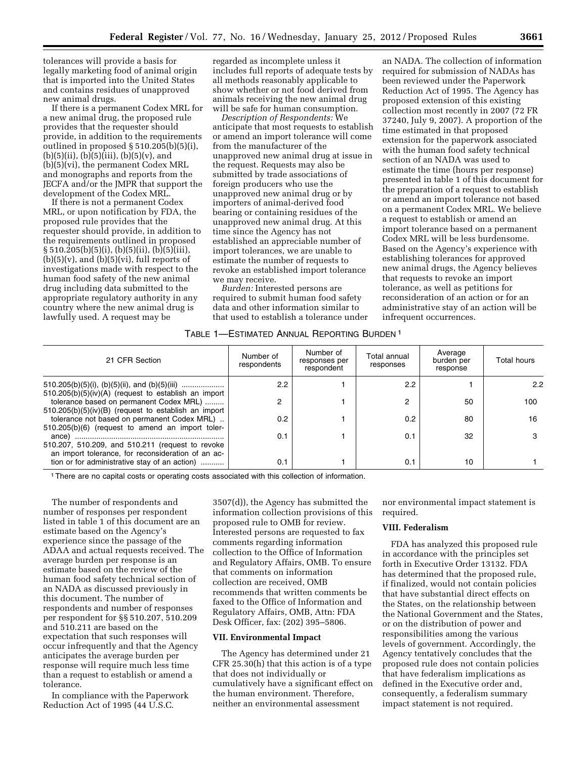tolerances will provide a basis for legally marketing food of animal origin that is imported into the United States and contains residues of unapproved new animal drugs.

If there is a permanent Codex MRL for a new animal drug, the proposed rule provides that the requester should provide, in addition to the requirements outlined in proposed § 510.205(b)(5)(i),  $(b)(5)(ii), (b)(5)(iii), (b)(5)(v), and$ (b)(5)(vi), the permanent Codex MRL and monographs and reports from the JECFA and/or the JMPR that support the development of the Codex MRL.

If there is not a permanent Codex MRL, or upon notification by FDA, the proposed rule provides that the requester should provide, in addition to the requirements outlined in proposed § 510.205(b)(5)(i), (b)(5)(ii), (b)(5)(iii),  $(b)(5)(v)$ , and  $(b)(5)(vi)$ , full reports of investigations made with respect to the human food safety of the new animal drug including data submitted to the appropriate regulatory authority in any country where the new animal drug is lawfully used. A request may be

regarded as incomplete unless it includes full reports of adequate tests by all methods reasonably applicable to show whether or not food derived from animals receiving the new animal drug will be safe for human consumption.

*Description of Respondents:* We anticipate that most requests to establish or amend an import tolerance will come from the manufacturer of the unapproved new animal drug at issue in the request. Requests may also be submitted by trade associations of foreign producers who use the unapproved new animal drug or by importers of animal-derived food bearing or containing residues of the unapproved new animal drug. At this time since the Agency has not established an appreciable number of import tolerances, we are unable to estimate the number of requests to revoke an established import tolerance we may receive.

*Burden:* Interested persons are required to submit human food safety data and other information similar to that used to establish a tolerance under

an NADA. The collection of information required for submission of NADAs has been reviewed under the Paperwork Reduction Act of 1995. The Agency has proposed extension of this existing collection most recently in 2007 (72 FR 37240, July 9, 2007). A proportion of the time estimated in that proposed extension for the paperwork associated with the human food safety technical section of an NADA was used to estimate the time (hours per response) presented in table 1 of this document for the preparation of a request to establish or amend an import tolerance not based on a permanent Codex MRL. We believe a request to establish or amend an import tolerance based on a permanent Codex MRL will be less burdensome. Based on the Agency's experience with establishing tolerances for approved new animal drugs, the Agency believes that requests to revoke an import tolerance, as well as petitions for reconsideration of an action or for an administrative stay of an action will be infrequent occurrences.

# TABLE 1—ESTIMATED ANNUAL REPORTING BURDEN 1

| 21 CFR Section                                                                                                                                            | Number of<br>respondents | Number of<br>responses per<br>respondent | Total annual<br>responses | Average<br>burden per<br>response | Total hours |
|-----------------------------------------------------------------------------------------------------------------------------------------------------------|--------------------------|------------------------------------------|---------------------------|-----------------------------------|-------------|
| 510.205(b)(5)(iv)(A) (request to establish an import                                                                                                      | 2.2                      |                                          | 2.2                       |                                   | 2.2         |
| tolerance based on permanent Codex MRL)                                                                                                                   | 2                        |                                          | $\overline{2}$            | 50                                | 100         |
| $510.205(b)(5)(iv)(B)$ (request to establish an import<br>tolerance not based on permanent Codex MRL)<br>510.205(b)(6) (request to amend an import toler- | 0.2                      |                                          | 0.2                       | 80                                | 16          |
|                                                                                                                                                           | 0.1                      |                                          | 0.1                       | 32                                |             |
| 510.207, 510.209, and 510.211 (request to revoke<br>an import tolerance, for reconsideration of an ac-                                                    |                          |                                          |                           |                                   |             |
| tion or for administrative stay of an action)                                                                                                             | 0.1                      |                                          | 0.1                       | 10                                |             |

1There are no capital costs or operating costs associated with this collection of information.

The number of respondents and number of responses per respondent listed in table 1 of this document are an estimate based on the Agency's experience since the passage of the ADAA and actual requests received. The average burden per response is an estimate based on the review of the human food safety technical section of an NADA as discussed previously in this document. The number of respondents and number of responses per respondent for §§ 510.207, 510.209 and 510.211 are based on the expectation that such responses will occur infrequently and that the Agency anticipates the average burden per response will require much less time than a request to establish or amend a tolerance.

In compliance with the Paperwork Reduction Act of 1995 (44 U.S.C.

3507(d)), the Agency has submitted the information collection provisions of this proposed rule to OMB for review. Interested persons are requested to fax comments regarding information collection to the Office of Information and Regulatory Affairs, OMB. To ensure that comments on information collection are received, OMB recommends that written comments be faxed to the Office of Information and Regulatory Affairs, OMB, Attn: FDA Desk Officer, fax: (202) 395–5806.

# **VII. Environmental Impact**

The Agency has determined under 21 CFR 25.30(h) that this action is of a type that does not individually or cumulatively have a significant effect on the human environment. Therefore, neither an environmental assessment

nor environmental impact statement is required.

### **VIII. Federalism**

FDA has analyzed this proposed rule in accordance with the principles set forth in Executive Order 13132. FDA has determined that the proposed rule, if finalized, would not contain policies that have substantial direct effects on the States, on the relationship between the National Government and the States, or on the distribution of power and responsibilities among the various levels of government. Accordingly, the Agency tentatively concludes that the proposed rule does not contain policies that have federalism implications as defined in the Executive order and, consequently, a federalism summary impact statement is not required.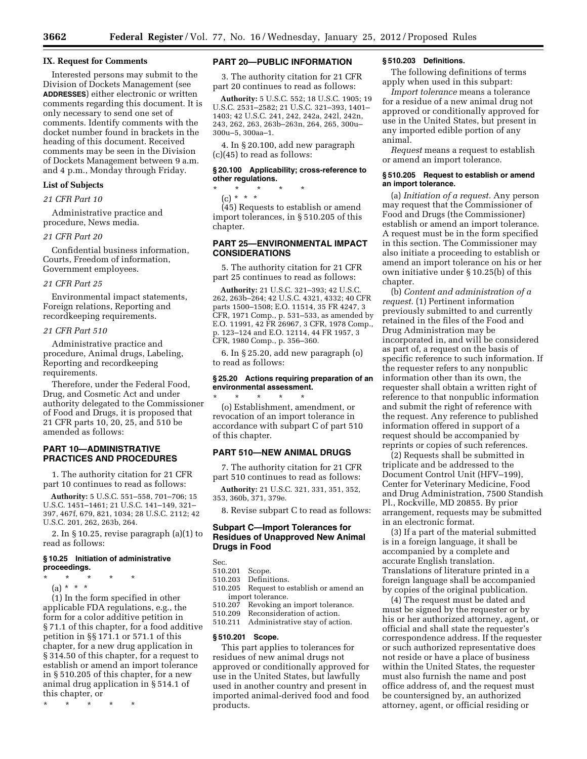### **IX. Request for Comments**

Interested persons may submit to the Division of Dockets Management (see **ADDRESSES**) either electronic or written comments regarding this document. It is only necessary to send one set of comments. Identify comments with the docket number found in brackets in the heading of this document. Received comments may be seen in the Division of Dockets Management between 9 a.m. and 4 p.m., Monday through Friday.

### **List of Subjects**

### *21 CFR Part 10*

Administrative practice and procedure, News media.

# *21 CFR Part 20*

Confidential business information, Courts, Freedom of information, Government employees.

# *21 CFR Part 25*

Environmental impact statements, Foreign relations, Reporting and recordkeeping requirements.

# *21 CFR Part 510*

Administrative practice and procedure, Animal drugs, Labeling, Reporting and recordkeeping requirements.

Therefore, under the Federal Food, Drug, and Cosmetic Act and under authority delegated to the Commissioner of Food and Drugs, it is proposed that 21 CFR parts 10, 20, 25, and 510 be amended as follows:

# **PART 10—ADMINISTRATIVE PRACTICES AND PROCEDURES**

1. The authority citation for 21 CFR part 10 continues to read as follows:

**Authority:** 5 U.S.C. 551–558, 701–706; 15 U.S.C. 1451–1461; 21 U.S.C. 141–149, 321– 397, 467f, 679, 821, 1034; 28 U.S.C. 2112; 42 U.S.C. 201, 262, 263b, 264.

2. In § 10.25, revise paragraph (a)(1) to read as follows:

### **§ 10.25 Initiation of administrative proceedings.**

- \* \* \* \* \*
	- (a) \* \* \*

(1) In the form specified in other applicable FDA regulations, e.g., the form for a color additive petition in § 71.1 of this chapter, for a food additive petition in §§ 171.1 or 571.1 of this chapter, for a new drug application in § 314.50 of this chapter, for a request to establish or amend an import tolerance in § 510.205 of this chapter, for a new animal drug application in § 514.1 of this chapter, or

\* \* \* \* \*

### **PART 20—PUBLIC INFORMATION**

3. The authority citation for 21 CFR part 20 continues to read as follows:

**Authority:** 5 U.S.C. 552; 18 U.S.C. 1905; 19 U.S.C. 2531–2582; 21 U.S.C. 321–393, 1401– 1403; 42 U.S.C. 241, 242, 242a, 242l, 242n, 243, 262, 263, 263b–263n, 264, 265, 300u– 300u–5, 300aa–1.

4. In § 20.100, add new paragraph (c)(45) to read as follows:

### **§ 20.100 Applicability; cross-reference to other regulations.**

\* \* \* \* \* (c) \* \* \*

(45) Requests to establish or amend import tolerances, in § 510.205 of this chapter.

# **PART 25—ENVIRONMENTAL IMPACT CONSIDERATIONS**

5. The authority citation for 21 CFR part 25 continues to read as follows:

**Authority:** 21 U.S.C. 321–393; 42 U.S.C. 262, 263b–264; 42 U.S.C. 4321, 4332; 40 CFR parts 1500–1508; E.O. 11514, 35 FR 4247, 3 CFR, 1971 Comp., p. 531–533, as amended by E.O. 11991, 42 FR 26967, 3 CFR, 1978 Comp., p. 123–124 and E.O. 12114, 44 FR 1957, 3 CFR, 1980 Comp., p. 356–360.

6. In § 25.20, add new paragraph (o) to read as follows:

# **§ 25.20 Actions requiring preparation of an environmental assessment.**

\* \* \* \* \* (o) Establishment, amendment, or revocation of an import tolerance in accordance with subpart C of part 510 of this chapter.

# **PART 510—NEW ANIMAL DRUGS**

7. The authority citation for 21 CFR part 510 continues to read as follows:

**Authority:** 21 U.S.C. 321, 331, 351, 352, 353, 360b, 371, 379e.

8. Revise subpart C to read as follows:

# **Subpart C—Import Tolerances for Residues of Unapproved New Animal Drugs in Food**

Sec.

- 510.201 Scope.
- Definitions.
- 510.205 Request to establish or amend an import tolerance.
- 510.207 Revoking an import tolerance.
- 510.209 Reconsideration of action.

510.211 Administrative stay of action.

### **§ 510.201 Scope.**

This part applies to tolerances for residues of new animal drugs not approved or conditionally approved for use in the United States, but lawfully used in another country and present in imported animal-derived food and food products.

### **§ 510.203 Definitions.**

The following definitions of terms apply when used in this subpart:

*Import tolerance* means a tolerance for a residue of a new animal drug not approved or conditionally approved for use in the United States, but present in any imported edible portion of any animal.

*Request* means a request to establish or amend an import tolerance.

### **§ 510.205 Request to establish or amend an import tolerance.**

(a) *Initiation of a request.* Any person may request that the Commissioner of Food and Drugs (the Commissioner) establish or amend an import tolerance. A request must be in the form specified in this section. The Commissioner may also initiate a proceeding to establish or amend an import tolerance on his or her own initiative under § 10.25(b) of this chapter.

(b) *Content and administration of a request.* (1) Pertinent information previously submitted to and currently retained in the files of the Food and Drug Administration may be incorporated in, and will be considered as part of, a request on the basis of specific reference to such information. If the requester refers to any nonpublic information other than its own, the requester shall obtain a written right of reference to that nonpublic information and submit the right of reference with the request. Any reference to published information offered in support of a request should be accompanied by reprints or copies of such references.

(2) Requests shall be submitted in triplicate and be addressed to the Document Control Unit (HFV–199), Center for Veterinary Medicine, Food and Drug Administration, 7500 Standish Pl., Rockville, MD 20855. By prior arrangement, requests may be submitted in an electronic format.

(3) If a part of the material submitted is in a foreign language, it shall be accompanied by a complete and accurate English translation. Translations of literature printed in a foreign language shall be accompanied by copies of the original publication.

(4) The request must be dated and must be signed by the requester or by his or her authorized attorney, agent, or official and shall state the requester's correspondence address. If the requester or such authorized representative does not reside or have a place of business within the United States, the requester must also furnish the name and post office address of, and the request must be countersigned by, an authorized attorney, agent, or official residing or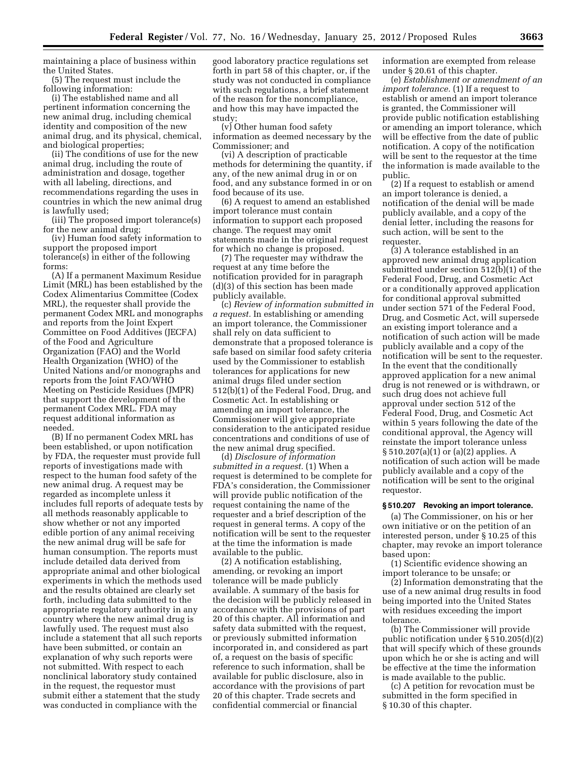maintaining a place of business within the United States.

(5) The request must include the following information:

(i) The established name and all pertinent information concerning the new animal drug, including chemical identity and composition of the new animal drug, and its physical, chemical, and biological properties;

(ii) The conditions of use for the new animal drug, including the route of administration and dosage, together with all labeling, directions, and recommendations regarding the uses in countries in which the new animal drug is lawfully used;

(iii) The proposed import tolerance(s) for the new animal drug;

(iv) Human food safety information to support the proposed import tolerance(s) in either of the following forms:

(A) If a permanent Maximum Residue Limit (MRL) has been established by the Codex Alimentarius Committee (Codex MRL), the requester shall provide the permanent Codex MRL and monographs and reports from the Joint Expert Committee on Food Additives (JECFA) of the Food and Agriculture Organization (FAO) and the World Health Organization (WHO) of the United Nations and/or monographs and reports from the Joint FAO/WHO Meeting on Pesticide Residues (JMPR) that support the development of the permanent Codex MRL. FDA may request additional information as needed.

(B) If no permanent Codex MRL has been established, or upon notification by FDA, the requester must provide full reports of investigations made with respect to the human food safety of the new animal drug. A request may be regarded as incomplete unless it includes full reports of adequate tests by all methods reasonably applicable to show whether or not any imported edible portion of any animal receiving the new animal drug will be safe for human consumption. The reports must include detailed data derived from appropriate animal and other biological experiments in which the methods used and the results obtained are clearly set forth, including data submitted to the appropriate regulatory authority in any country where the new animal drug is lawfully used. The request must also include a statement that all such reports have been submitted, or contain an explanation of why such reports were not submitted. With respect to each nonclinical laboratory study contained in the request, the requestor must submit either a statement that the study was conducted in compliance with the

good laboratory practice regulations set forth in part 58 of this chapter, or, if the study was not conducted in compliance with such regulations, a brief statement of the reason for the noncompliance, and how this may have impacted the study;

(v) Other human food safety information as deemed necessary by the Commissioner; and

(vi) A description of practicable methods for determining the quantity, if any, of the new animal drug in or on food, and any substance formed in or on food because of its use.

(6) A request to amend an established import tolerance must contain information to support each proposed change. The request may omit statements made in the original request for which no change is proposed.

(7) The requester may withdraw the request at any time before the notification provided for in paragraph (d)(3) of this section has been made publicly available.

(c) *Review of information submitted in a request.* In establishing or amending an import tolerance, the Commissioner shall rely on data sufficient to demonstrate that a proposed tolerance is safe based on similar food safety criteria used by the Commissioner to establish tolerances for applications for new animal drugs filed under section 512(b)(1) of the Federal Food, Drug, and Cosmetic Act. In establishing or amending an import tolerance, the Commissioner will give appropriate consideration to the anticipated residue concentrations and conditions of use of the new animal drug specified.

(d) *Disclosure of information submitted in a request.* (1) When a request is determined to be complete for FDA's consideration, the Commissioner will provide public notification of the request containing the name of the requester and a brief description of the request in general terms. A copy of the notification will be sent to the requester at the time the information is made available to the public.

(2) A notification establishing, amending, or revoking an import tolerance will be made publicly available. A summary of the basis for the decision will be publicly released in accordance with the provisions of part 20 of this chapter. All information and safety data submitted with the request, or previously submitted information incorporated in, and considered as part of, a request on the basis of specific reference to such information, shall be available for public disclosure, also in accordance with the provisions of part 20 of this chapter. Trade secrets and confidential commercial or financial

information are exempted from release under § 20.61 of this chapter.

(e) *Establishment or amendment of an import tolerance.* (1) If a request to establish or amend an import tolerance is granted, the Commissioner will provide public notification establishing or amending an import tolerance, which will be effective from the date of public notification. A copy of the notification will be sent to the requestor at the time the information is made available to the public.

(2) If a request to establish or amend an import tolerance is denied, a notification of the denial will be made publicly available, and a copy of the denial letter, including the reasons for such action, will be sent to the requester.

(3) A tolerance established in an approved new animal drug application submitted under section 512(b)(1) of the Federal Food, Drug, and Cosmetic Act or a conditionally approved application for conditional approval submitted under section 571 of the Federal Food, Drug, and Cosmetic Act, will supersede an existing import tolerance and a notification of such action will be made publicly available and a copy of the notification will be sent to the requester. In the event that the conditionally approved application for a new animal drug is not renewed or is withdrawn, or such drug does not achieve full approval under section 512 of the Federal Food, Drug, and Cosmetic Act within 5 years following the date of the conditional approval, the Agency will reinstate the import tolerance unless § 510.207(a)(1) or (a)(2) applies. A notification of such action will be made publicly available and a copy of the notification will be sent to the original requestor.

### **§ 510.207 Revoking an import tolerance.**

(a) The Commissioner, on his or her own initiative or on the petition of an interested person, under § 10.25 of this chapter, may revoke an import tolerance based upon:

(1) Scientific evidence showing an import tolerance to be unsafe; or

(2) Information demonstrating that the use of a new animal drug results in food being imported into the United States with residues exceeding the import tolerance.

(b) The Commissioner will provide public notification under § 510.205(d)(2) that will specify which of these grounds upon which he or she is acting and will be effective at the time the information is made available to the public.

(c) A petition for revocation must be submitted in the form specified in § 10.30 of this chapter.